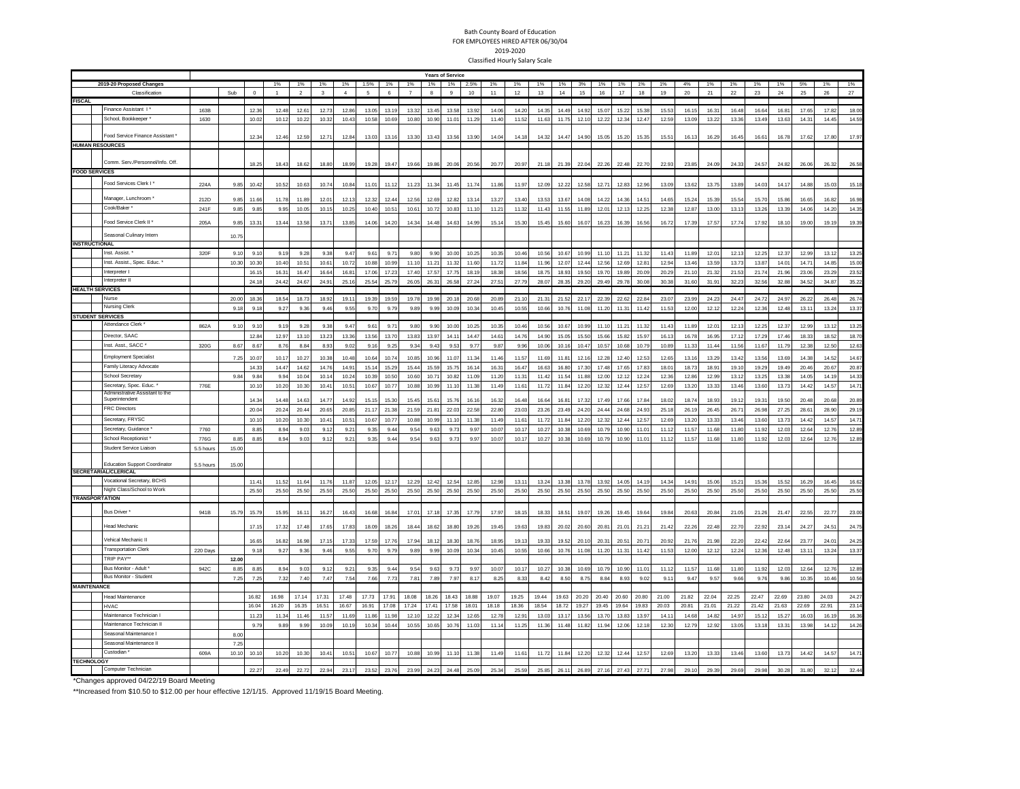## Bath County Board of Education FOR EMPLOYEES HIRED AFTER 06/30/04 2019-2020 Classified Hourly Salary Scale

|                         |                                      |           |               | <b>Years of Service</b> |               |                |               |                |                |               |                |                |                |                   |                |                   |                |                |                |                |                |                |                |                |       |       |       |                |               |               |                |
|-------------------------|--------------------------------------|-----------|---------------|-------------------------|---------------|----------------|---------------|----------------|----------------|---------------|----------------|----------------|----------------|-------------------|----------------|-------------------|----------------|----------------|----------------|----------------|----------------|----------------|----------------|----------------|-------|-------|-------|----------------|---------------|---------------|----------------|
|                         | 2019-20 Proposed Changes             |           |               |                         | 1%            | 1%             | 1%            | 1%             | 1.5%           | 1%            | 1%             | 1%             | 1%             | 2.5%              | 1%             | 1%                | 1%             | 1%             | 3%             | 1%             | 1%             | 1%             | 1%             | 4%             | 1%    | 1%    | 1%    | 1%             | 5%            | 1%            | 1%             |
|                         | Classification                       |           | Sub           | $\Omega$                |               | $\overline{2}$ | ٠             | $\overline{A}$ | $\overline{a}$ | $\mathbf{6}$  | $\overline{7}$ | $\mathbf{a}$   | 9              | 10                | 11             | 12                | 13             | 14             | 15             | 16             | 17             | $18\,$         | 19             | 20             | 21    | 22    | 23    | $24\,$         | 25            | 26            | $27\,$         |
| <b>FISCAL</b>           |                                      |           |               |                         |               |                |               |                |                |               |                |                |                |                   |                |                   |                |                |                |                |                |                |                |                |       |       |       |                |               |               |                |
|                         | inance Assistant                     | 163B      |               | 12.36                   | 12.48         | 12.61          | 12.72         | 12.86          | 13.05          | 13.19         | 13.32          | 13.45          | 13.58          | 13.92             | 14.06          | 14.20             | 14.35          | 14.49          | 14.92          | 15.07          | 15.22          | 15.38          | 15.53          | 16.15          | 16.31 | 16.48 | 16.64 | 16.81          | 17.65         | 17.82         | 18.00          |
|                         | School, Bookkeeper                   | 1630      |               | 10.0                    | 10.12         | 10.22          | 10.32         | 10.43          | 10.58          | 10.69         | 10.80          | 10.90          | 11.01          | 11.29             | 11.40          | 11.52             | 11.63          | 11.75          | 12.10          | 12.22          | 12.34          | 12.47          | 12.59          | 13.0           | 13.22 | 13.36 | 13.49 | 13.63          | 14.3          | 14.45         | 14.59          |
|                         | Food Service Finance Assistant *     |           |               |                         |               |                |               |                |                |               |                |                |                |                   |                |                   |                |                |                |                |                |                |                |                |       |       |       |                |               |               |                |
|                         |                                      |           |               | 12.34                   | 12.46         | 12.59          | 12.71         | 12.84          | 13.03          | 13.16         | 13.30          | 13.43          | 13.56          | 13.90             | 14.04          | 14.18             | 14.32          | 14.47          | 14.90          | 15.05          | 15.20          | 15.35          | 15.51          | 16.13          | 16.29 | 16.45 | 16.61 | 16.78          | 17.62         | 17.80         | 17.97          |
|                         | <b>HUMAN RESOURCES</b>               |           |               |                         |               |                |               |                |                |               |                |                |                |                   |                |                   |                |                |                |                |                |                |                |                |       |       |       |                |               |               |                |
|                         | Comm. Serv./Personnel/Info. Off      |           |               |                         |               |                |               |                |                |               |                |                |                |                   |                |                   |                |                |                |                |                |                |                |                |       |       |       |                |               |               |                |
|                         |                                      |           |               | 18.25                   | 18.43         | 18.62          | 18.80         | 18.99          | 19.28          | 19.47         | 19.66          | 19.86          | 20.06          | 20.56             | 20.77          | 20.97             | 21.18          | 21.39          | 22.04          | 22.26          | 22.48          | 22.70          | 22.93          | 23.85          | 24.09 | 24.33 | 24.57 | 24.82          | 26.06         | 26.32         | 26.58          |
| <b>FOOD SERVICES</b>    |                                      |           |               |                         |               |                |               |                |                |               |                |                |                |                   |                |                   |                |                |                |                |                |                |                |                |       |       |       |                |               |               |                |
|                         | Food Services Clerk I*               | 224A      | 9.85          | 10.42                   | 10.52         | 10.63          | 10.74         | 10.84          | 11.01          | 11.12         | 11.23          | 11.34          | 11.45          | 11.74             | 11.86          | 11.97             | 12.09          | 12.22          | 12.58          | 12.71          | 12.83          | 12.96          | 13.09          | 13.62          | 13.75 | 13.89 | 14.03 | 14.17          | 14.88         | 15.03         | 15.18          |
|                         | Manager, Lunchroom                   |           |               |                         |               |                |               |                |                |               |                |                |                |                   |                |                   |                |                |                |                |                |                |                |                |       |       |       |                |               |               |                |
|                         |                                      | 212D      | 9.85          | 11.66                   | 11.78         | 11.89          | 12.01         | 12.13          | 12.32          | 12.44         | 12.56          | 12.69          | 12.8           | 13.1              | 13.27          | 13.40             | 13.53          | 13.67          | 14.01          | 14.22          | 14.36          | $14.5^{\circ}$ | 14.65          | 15.2           | 15.39 | 15.5  | 15.70 | 15.86          | 16.6          | 16.82         | 16.98          |
|                         | Cook/Baker*                          | 241F      | 9.85          | 9.85                    | 9.95          | 10.05          | 10.15         | 10.25          | 10.40          | 10.51         | 10.61          | 10.72          | 10.83          | 11.10             | 11.21          | 11.32             | 11.43          | 11.55          | 11.89          | 12.01          | 12.13          | 12.25          | 12.38          | 12.87          | 13.00 | 13.13 | 13.26 | 13.39          | 14.0          | 14.20         | 14.35          |
|                         | "ood Service Clerk II"               | 205A      | 9.85          | 13.31                   | 13.44         | 13.58          | 13.71         | 13.85          | 14.06          | 14.20         | 14.34          | 14.48          | 14.63          | 14.99             | 15.14          | 15.30             | 15.45          | 15.60          | 16.07          | 16.23          | 16.39          | 16.56          | 16.72          | 17.39          | 17.57 | 17.74 | 17.92 | 18.10          | 19.00         | 19.19         | 19.39          |
|                         | Seasonal Culinary Intern             |           |               |                         |               |                |               |                |                |               |                |                |                |                   |                |                   |                |                |                |                |                |                |                |                |       |       |       |                |               |               |                |
| <b>INSTRUCTIONAL</b>    |                                      |           | 10.75         |                         |               |                |               |                |                |               |                |                |                |                   |                |                   |                |                |                |                |                |                |                |                |       |       |       |                |               |               |                |
|                         | Inst. Assist.                        | 320F      | 9.1           | 9.1                     | 9.19          | 9.28           | 9.31          | 9.47           | 9.6            | 9.7           | 9.80           | 9.90           | 10.00          | 10.2              | 10.3           |                   | 10.5           | 10.67          | 10.99          | 11.10          | 11.2           | 11.32          | 11.4           | 11.8           | 12.0  | 12.1  | 12.25 | 12.31          | 12.9          | 13.1          | 13.25          |
|                         | Inst. Assist., Spec. Educ.           |           |               |                         |               |                |               |                |                |               |                |                |                |                   |                | 10.46             |                |                |                |                |                |                |                |                |       |       |       |                |               |               |                |
|                         | Interpreter                          |           | 10.3          | 10.3                    | 10.40         | 10.51          | 10.61         | 10.72          | 10.88          | 10.99         | 11.10          | 11.2           | 11.3           | 11.6              | 11.72          | 11.8              | 11.96          | 12.0           | 12.4           | 12.56          | 12.69          | 12.8           | 12.9           | 13.4           | 13.59 | 13.73 | 13.87 | 14.0           | 14.7          | 14.8          | 15.00          |
|                         | Interpreter II                       |           |               | 16.1                    | 16.31         | 16.47          | 16.64         | 16.81          | 17.06          | 17.23         | 17.40          | 17.57          | 17.75          | 18.19             | 18.38          | 18.56             | 18.75          | 18.93          | 19.50          | 19.70          | 19.89          | 20.09          | 20.29          | 21.10          | 21.32 | 21.53 | 21.74 | 21.96          | 23.06         | 23.29         | 23.52          |
| <b>HEALTH SERVICES</b>  |                                      |           |               | 24.1                    | 24.42         | 24.67          | 24.91         | 25.16          | 25.54          | 25.79         | 26.05          | 26.31          | 26.58          | 27.24             | $27.5^{\circ}$ | 27.79             | 28.07          | 28.35          | 29.20          | 29.49          | 29.78          | 30.08          | 30.38          | 31.60          | 31.91 | 32.23 | 32.56 | 32.88          | 34.5          | 34.8          | 35.22          |
|                         | Vurse                                |           |               |                         |               |                |               |                |                |               |                |                |                |                   |                |                   |                |                |                |                |                |                |                |                |       |       |       |                |               |               |                |
|                         | Nursing Clerk                        |           | 20.00<br>9.18 | 18.36<br>9.18           | 18.54<br>9.27 | 18.73<br>9.36  | 18.92<br>9.46 | 19.1<br>9.55   | 19.39<br>9.70  | 19.59<br>9.79 | 19.78<br>9.89  | 19.98<br>9.99  | 20.18<br>10.09 | 20.68<br>10.34    | 20.89<br>10.45 | 21.1<br>10.55     | 21.31<br>10.66 | 21.52<br>10.76 | 22.17<br>11.08 | 22.39<br>11.20 | 22.62<br>11.31 | 22.84<br>11.42 | 23.07<br>11.53 | 23.9<br>12.00  | 24.2  | 24.4  | 24.72 | 24.97<br>12.48 | 26.2<br>13.11 | 26.4<br>13.24 | 26.74<br>13.37 |
| <b>STUDENT SERVICES</b> |                                      |           |               |                         |               |                |               |                |                |               |                |                |                |                   |                |                   |                |                |                |                |                |                |                |                | 12.12 | 12.24 | 12.36 |                |               |               |                |
|                         | Attendance Clerk                     |           |               |                         |               |                |               |                |                |               |                |                |                |                   |                |                   |                |                |                |                |                |                |                |                |       |       |       |                |               |               |                |
|                         |                                      | 862A      | 9.1           | 9.1(                    | 9.15          | 9.28           | 9.38          | 9.47           | 9.61           | 9.71          | 9.80           | 9.90           | 10.00          | 10.25             | 10.35          | 10.46             | 10.56          | 10.67          | 10.99          | 11.10          | 11.21          | 11.32          | 11.43          | 11.89          | 12.0  | 12.13 | 12.25 | 12.37          | 12.9          | 13.1          | 13.25          |
|                         | Director, SAAC                       |           |               | 12.84                   | 12.97         | 13.10          | 13.23         | 13,36          | 13.56          | 13.70         | 13.83          | 13.97          | 14.1           | 14.4              | 14.61          | 14.76             | 14.90          | 15.05          | 15.50          | 15.66          | 15.82          | 15.97          | 16.13          | 16.7           | 16.95 | 17.12 | 17.29 | 17,46          | 18.3          | 18.52         | 18.70          |
|                         | Inst. Asst., SACC                    | 320G      | 8.67          | 8.67                    | 8.76          | 8.84           | 8.93          | 9.02           | 9.16           | 9.25          | 9.34           | 9.43           | 9.53           | 9.77              | 9.87           | 9.96              | 10.06          | 10.16          | 10.47          | 10.57          | 10.68          | 10.79          | 10.89          | 11.33          | 11.44 | 11.56 | 11.67 | 11.79          | 12.3          | 12.50         | 12.63          |
|                         | <b>Employment Specialist</b>         |           | 7.25          | 10.0                    | 10.17         | 10.27          | 10.38         | 10.48          | 10.64          | 10.74         | 10.85          | 10.96          | 11.07          | 11.3 <sub>°</sub> | 11.46          | 11.57             | 11.69          | 11.8           | 12.10          | 12.28          | 12.40          | 12.53          | 12.65          | 13.16          | 13.29 | 13.42 | 13.56 | 13.69          | 14.3          | 14.52         | 14.67          |
|                         | Family Literacy Advocate             |           |               | 14.3                    | 14.47         | 14.62          | 14.7          | 14.91          | 15.1           | 15.29         | 15.44          | 15.59          | 15.75          | 16.1              | 16.3'          | 16.4              | 16.63          | 16.8           | 17.30          | 17.48          | 17.65          | 17.83          | 18.0           | 18.7           | 18.9  | 19.1  | 19.29 | 19.49          | 20.4          | 20.6          | 20.87          |
|                         | School Secretary                     |           | 9.84          | 9.84                    | 9.94          | 10.04          | 10.14         | 10.24          | 10.39          | 10.50         | 10.60          | 10.71          | 10.82          | 11.09             | 11.20          | 11.3              | 11.42          | 11.5           | 11.88          | 12.00          | 12.12          | 12.24          | 12.36          | 12.86          | 12.99 | 13.12 | 13.25 | 13.38          | 14.0          | 14.19         | 14.33          |
|                         | Secretary, Spec. Educ.               | 776E      |               | 10.1                    | 10.20         | 10.30          | 10.41         | 10.51          | 10.67          | 10.77         | 10.88          | 10.99          | 11.10          | 11.38             | 11.49          | 11.61             | 11.72          | 11.84          | 12.20          | 12.32          | 12.44          | 12.57          | 12.69          | 13.20          | 13.33 | 13.46 | 13.60 | 13.73          | 14.42         | 14.57         | 14.71          |
|                         | Administrative Assistant to the      |           |               |                         |               |                |               |                |                |               |                |                |                |                   |                |                   |                |                |                |                |                |                |                |                |       |       |       |                |               |               |                |
|                         | Superintendent                       |           |               | 14.3                    | 144           | 14.63          | 14.7          | 14.92          | 15.15          | 15.30         | 15.45          | $15.6^{\circ}$ | 15.7           | 16.1              | 16.32          | 16.48             | 16.6           | 16.8           | 17.33          | 17.49          | 17.66          | 17.84          | 18.02          | 18.7           | 18.9  | 19.1  | 19.31 | 19.50          | 20A           | 20.68         | 20.89          |
|                         | <b>FRC Directors</b>                 |           |               | 20.0 <sub>1</sub>       | 20.24         | 20.44          | 20.65         | 20.85          | 21.17          | 21.38         | 21.59          | 21.81          | 22.03          | 22.58             | 22.80          | 23.03             | 23.26          | 23.49          | 24.20          | 24.44          | 24.68          | 24.93          | 25.1           | 26.1           | 26.45 | 26.7' | 26.98 | 27.25          | 28.6          | 28.90         | 29.19          |
|                         | Secretary, FRYSC                     |           |               | 10.1                    | 10.20         | 10.3           | 10.4          | 10.5           | 10.6           | 10.7          | 10.8           | 10.99          | 11.1           | 11.3              | 11.4           | 11.6              | 11.7           | 11.8           | 12.20          | 12.32          | 12.44          | 12.57          | 12.69          | 13.2           | 13.3  | 13.46 | 13.60 | 13.7           | 14.4          | 14.5          | 14.71          |
|                         | Secretary, Guidance                  | 7760      |               | 8.85                    | 8.94          | 9.03           | 9.12          | 9.21           | 9.35           | 9.44          | 9.54           | 9.63           | 9.73           | 9.97              | 10.07          | 10.17             | 10.27          | 10.38          | 10.69          | 10.79          | 10.90          | 11.01          | 11.12          | 11.57          | 11.68 | 11.80 | 11.92 | 12.03          | 12.64         | 12.76         | 12.89          |
|                         | School Receptionist                  | 776G      | 8.85          | 8.85                    | 8.94          | 9.03           | 9.12          | 9.21           | 9.35           | 9.44          | 9.54           | 9.63           | 9.73           | 9.97              | 10.07          | 10.17             | 10.27          | 10.38          | 10.69          | 10.79          | 10.90          | 11.01          | 11.12          | 11.57          | 11.68 | 11.80 | 11.92 | 12.03          | 12.6          | 12.76         | 12.89          |
|                         | Student Service Liaisor              | 5.5 hours | 15.00         |                         |               |                |               |                |                |               |                |                |                |                   |                |                   |                |                |                |                |                |                |                |                |       |       |       |                |               |               |                |
|                         |                                      |           |               |                         |               |                |               |                |                |               |                |                |                |                   |                |                   |                |                |                |                |                |                |                |                |       |       |       |                |               |               |                |
|                         | <b>Education Support Coordinator</b> | 5.5 hours | 15.00         |                         |               |                |               |                |                |               |                |                |                |                   |                |                   |                |                |                |                |                |                |                |                |       |       |       |                |               |               |                |
|                         | <b>SECRETARIAL/CLERICAL</b>          |           |               |                         |               |                |               |                |                |               |                |                |                |                   |                |                   |                |                |                |                |                |                |                |                |       |       |       |                |               |               |                |
|                         | Vocational Secretary, BCHS           |           |               | 11.4                    | 11.5          | 11.64          | 11.7          | 11.87          | 12.0           | 12.1          | 12.29          | 12.4           | 12.5           | 12.85             | 12.9           | 13.1              | 13.2           | 13.3           | 13.75          | 13.92          | 14.05          | 14.1           | 14.34          | $14.9^{\circ}$ | 15.06 | 15.21 | 15.3  | 15.5           | 16.2          | 16.45         | 16.62          |
|                         | Night Class/School to Work           |           |               | 25.50                   | 25.50         | 25.50          | 25.50         | 25.50          | 25.50          | 25.50         | 25.50          | 25.50          | 25.50          | 25.50             | 25.50          | 25.50             | 25.50          | 25.50          | 25.50          | 25.50          | 25.50          | 25.50          | 25.50          | 25.50          | 25.50 | 25.50 | 25.50 | 25.50          | 25.5          | 25.50         | 25.50          |
| <b>TRANSPORTATION</b>   |                                      |           |               |                         |               |                |               |                |                |               |                |                |                |                   |                |                   |                |                |                |                |                |                |                |                |       |       |       |                |               |               |                |
|                         | <b>Bus Driver</b>                    | 941B      | 15.79         | 15.79                   | 15.95         | 16.1           | 16.27         | 16.43          | 16.68          | 16.84         | 17.01          | 17.18          | 17.35          | 17.79             | 17.97          | 18.15             | 18.33          | 18.5           | 19.07          | 19.26          | 19.45          | 19.64          | 19.84          | 20.63          | 20.84 | 21.05 | 21.26 | 21.47          | 22.55         | 22.77         | 23.00          |
|                         |                                      |           |               |                         |               |                |               |                |                |               |                |                |                |                   |                |                   |                |                |                |                |                |                |                |                |       |       |       |                |               |               |                |
|                         | <b>Head Mechanic</b>                 |           |               | 17.1                    | 17.32         | 17.48          | 17.65         | 17.83          | 18.09          | 18.26         | 18.44          | 18.62          | 18.80          | 19.2F             | 19.45          | 19.63             | 19.83          | 20.02          | 20.60          | 20.81          | 21.01          | 21.21          | 21.42          | 22.26          | 22.48 | 22.70 | 22.92 | 23.14          | 24.2          | 24.51         | 24.75          |
|                         | /ehical Mechanic I                   |           |               | 16.65                   | 16.82         | 16.98          | 17.1          | 17.33          | 17.59          | 17.7          | 17.94          | 18.13          | 18.3           | 18.7              | 18.95          | 19.1              | 19.33          | 19.5           | 20.1           | 20.31          | 20.5           | 20.7           | 20.92          | 21.7           | 21.91 | 22.20 | 22.42 | 22.64          | 23.7          | 24.0          | 24.25          |
|                         | <b>Fransportation Clerk</b>          | 220 Days  |               | 9.1                     | 9.27          | 9.36           | 9.46          | 9.55           | 9.70           | 9.79          | 9.89           | 9.99           | 10.09          | 10.34             | 10.45          | 10.55             | 10.66          | 10.76          | 11.08          | 11.20          | 11.31          | 11.42          | 11.53          | 12.00          | 12.12 | 12.24 | 12.36 | 12.48          | 13.1          | 13.24         | 13.37          |
|                         | <b>TRIP PAY</b>                      |           |               |                         |               |                |               |                |                |               |                |                |                |                   |                |                   |                |                |                |                |                |                |                |                |       |       |       |                |               |               |                |
|                         | Bus Monitor - Adult *                |           | 12.00         |                         |               |                |               |                |                |               |                |                |                |                   |                |                   |                |                |                |                |                |                |                |                |       |       |       |                |               |               |                |
|                         | <b>Bus Monitor - Student</b>         | 942C      | 8.85          | 8.85                    | 8.94          | 9.03           | 9.12          | 9.2            | 9.35           | 9.44          | 9.54           | 9.63           | 9.73           | 9.97              | 10.07          | 10.17             | 10.27          | 10.38          | 10.69          | 10.79          | 10.90          | 11.01          | 11.1           | 11.57          | 11.6  | 11.80 | 11.92 | 12.03          | 12.64         | 12.7          | 12.89          |
|                         |                                      |           | 7.25          | 7.25                    | 7.32          | 7.40           | 7.47          | 7.54           | 7.66           | 7.73          | 7.8            | 7.89           | 7.97           | 8.17              | 8.25           | $8.3^{\circ}$     | 8.42           | 8.5            | 8.75           | 8.84           | 8.93           | 9.02           | 9.1            | 9.47           | 9.57  | 9.66  | 9.76  | 9.86           | 10.35         | 10.46         | 10.56          |
| <b>MAINTENANCE</b>      |                                      |           |               |                         |               |                |               |                |                |               |                |                |                |                   |                |                   |                |                |                |                |                |                |                |                |       |       |       |                |               |               |                |
|                         | <b>Head Maintenance</b>              |           |               | 16.82                   | 16.98         | 17.14          | 17.31         | 17.48          | 17.73          | 17.91         | 18.08          | 18.26          | 18.43          | 18.88             | 19.07          | 19.25             | 19.44          | 19.63          | 20.20          | 20.40          | 20.60          | 20.80          | 21.00          | 21.82          | 22.04 | 22.25 | 22.47 | 22.69          | 23.80         | 24.03         | 24.27          |
|                         | <b>HVAC</b>                          |           |               | 16.04                   | 16.20         | 16.35          | 16.51         | 16.67          | 16.91          | 17.08         | 17.24          | 17.41          | 17.58          | 18.01             | 18.18          | 18.36             | 18.54          | 18.72          | 19.27          | 19.45          | 19.64          | 19.83          | 20.03          | 20.81          | 21.01 | 21.22 | 21.42 | 21.63          | 22.69         | 22.91         | 23.14          |
|                         | Maintenance Technician I             |           |               | 11.21                   | 11.34         | 11.46          | 11.57         | 11.69          | 11.86          | 11.98         | 12.10          | 12.22          | 12.3           | 12.65             | 12.78          | 12.9 <sup>°</sup> | 13.03          | 13.17          | 13.56          | 13.70          | 13.83          | 13.97          | 14.11          | 14.68          | 14.82 | 14.97 | 15.12 | 15.27          | 16.0          | 16.19         | 16.36          |
|                         | Maintenance Technician II            |           |               | 9.79                    | 9.89          | 9.99           | 10.09         | 10.19          | 10.34          | 10.44         | 10.55          | 10.65          | 10.76          | 11.03             | 11.14          | 11.25             | 11.36          | 11.48          | 11.82          | 11.94          | 12.06          | 12.18          | 12.30          | 12.79          | 12.92 | 13.05 | 13.18 | 13.31          | 13.98         | 14.12         | 14.26          |
|                         | Seasonal Maintenance                 |           | 8.0           |                         |               |                |               |                |                |               |                |                |                |                   |                |                   |                |                |                |                |                |                |                |                |       |       |       |                |               |               |                |
|                         | Seasonal Maintenance II              |           | 72            |                         |               |                |               |                |                |               |                |                |                |                   |                |                   |                |                |                |                |                |                |                |                |       |       |       |                |               |               |                |
|                         | Custodian                            | 609A      | 10.10         | 10.1                    | 10.20         | 10.30          | 10.41         | 10.5           | 10.67          | 10.77         | 10.88          | 10.99          | 11.10          | 11.38             | 11.49          | 11.61             | 11.72          | 11.84          | 12.20          | 12.32          | 12.44          | 12.57          | 12.69          | 13.20          | 13.33 | 13.46 | 13.60 | 13.73          | 14.42         | 14.57         | 14.71          |
| <b>TECHNOLOGY</b>       |                                      |           |               |                         |               |                |               |                |                |               |                |                |                |                   |                |                   |                |                |                |                |                |                |                |                |       |       |       |                |               |               |                |
|                         | Computer Technician                  |           |               | 22.27                   | 22.49         | 22.72          | 22.94         | 23.17          | 23.52          | 23.76         | 23.99          | 24.23          | 24.48          | 25.09             | 25.34          | 25.59             | 25.85          | 26.11          | 26.89          | 27.16          | 27.43          | 27.71          | 27.98          | 29.10          | 29.39 | 29.69 | 29.98 | 30.28          | 31.80         | 32.12         | 32.44          |

\*Changes approved 04/22/19 Board Meeting

\*\*Increased from \$10.50 to \$12.00 per hour effective 12/1/15. Approved 11/19/15 Board Meeting.